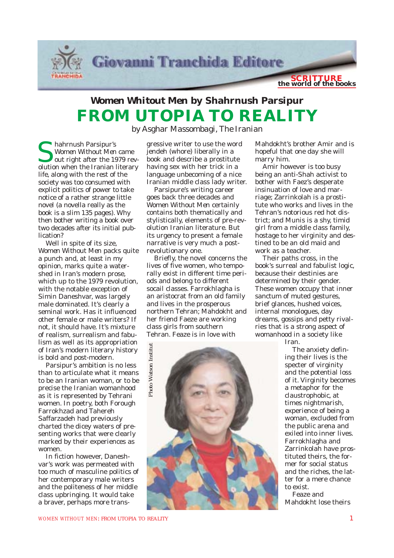

## *Women Whitout Men* **by Shahrnush Parsipur FROM UTOPIA TO REALITY**

*by Asghar Massombagi, The Iranian*

Shahrnush Parsipur's *Women Without Men* came out right after the 1979 revolution when the Iranian literary life, along with the rest of the society was too consumed with explicit politics of power to take notice of a rather strange little novel (a novella really as the book is a slim 135 pages). Why then bother writing a book over two decades after its initial publication?

Well in spite of its size, *Women Without Men* packs quite a punch and, at least in my opinion, marks quite a watershed in Iran's modern prose, which up to the 1979 revolution, with the notable exception of Simin Daneshvar, was largely male dominated. It's clearly a seminal work. Has it influenced other female or male writers? If not, it should have. It's mixture of realism, surrealism and fabulism as well as its appropriation of Iran's modern literary history is bold and post-modern.

Parsipur's ambition is no less than to articulate what it means to be an Iranian woman, or to be precise the Iranian womanhood as it is represented by Tehrani women. In poetry, both Forough Farrokhzad and Tahereh Saffarzadeh had previously charted the dicey waters of presenting works that were clearly marked by their experiences as women.

In fiction however, Daneshvar's work was permeated with too much of masculine politics of her contemporary male writers and the politeness of her middle class upbringing. It would take a braver, perhaps more trans-

gressive writer to use the word jendeh (whore) liberally in a book and describe a prostitute having sex with her trick in a language unbecoming of a nice Iranian middle class lady writer.

Parsipure's writing career goes back three decades and *Women Without Men* certainly contains both thematically and stylistically, elements of pre-revolution Iranian literature. But its urgency to present a female narrative is very much a postrevolutionary one.

Briefly, the novel concerns the lives of five women, who temporally exist in different time periods and belong to different socail classes. Farrokhlagha is an aristocrat from an old family and lives in the prosperous northern Tehran; Mahdokht and her friend Faeze are working class girls from southern Tehran. Feaze is in love with

Mahdokht's brother Amir and is hopeful that one day she will marry him.

Amir however is too busy being an anti-Shah activist to bother with Faez's desperate insinuation of love and marriage; Zarrinkolah is a prostitute who works and lives in the Tehran's notorious red hot district; and Munis is a shy, timid girl from a middle class family, hostage to her virginity and destined to be an old maid and work as a teacher.

Their paths cross, in the book's surreal and fabulist logic, because their destinies are determined by their gender. These women occupy that inner sanctum of muted gestures, brief glances, hushed voices, internal monologues, day dreams, gossips and petty rivalries that is a strong aspect of womanhood in a society like

Iran.

The anxiety defining their lives is the specter of virginity and the potential loss of it. Virginity becomes a metaphor for the claustrophobic, at times nightmarish, experience of being a woman, excluded from the public arena and exiled into inner lives. Farrokhlagha and Zarrinkolah have prostituted theirs, the former for social status and the riches, the latter for a mere chance to exist.

Feaze and Mahdokht lose theirs

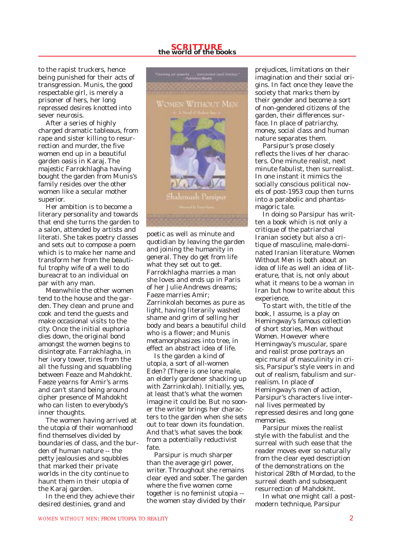## **SCRITTURE the world of the books**

to the rapist truckers, hence being punished for their acts of transgression. Munis, the good respectable girl, is merely a prisoner of hers, her long repressed desires knotted into sever neurosis.

After a series of highly charged dramatic tableaus, from rape and sister killing to resurrection and murder, the five women end up in a beautiful garden oasis in Karaj. The majestic Farrokhlagha having bought the garden from Munis's family resides over the other women like a secular mother superior.

Her ambition is to become a literary personality and towards that end she turns the garden to a salon, attended by artists and literati. She takes poetry classes and sets out to compose a poem which is to make her name and transform her from the beautiful trophy wife of a well to do bureacrat to an individual on par with any man.

Meanwhile the other women tend to the house and the garden. They clean and prune and cook and tend the guests and make occasional visits to the city. Once the initial euphoria dies down, the original bond amongst the women begins to disintegrate. Farrakhlagha, in her ivory tower, tires from the all the fussing and squabbling between Feaze and Mahdokht. Faeze yearns for Amir's arms and can't stand being around cipher presence of Mahdokht who can listen to everybody's inner thoughts.

The women having arrived at the utopia of their womanhood find themselves divided by boundaries of class, and the burden of human nature -- the petty jealousies and squbbles that marked their private worlds in the city continue to haunt them in their utopia of the Karaj garden.

In the end they achieve their desired destinies, grand and



poetic as well as minute and quotidian by leaving the garden and joining the humanity in general. They do get from life what they set out to get. Farrokhlagha marries a man she loves and ends up in Paris of her Julie Andrews dreams; Faeze marries Amir; Zarrinkolah becomes as pure as light, having literarily washed shame and grim of selling her body and bears a beautiful child who is a flower; and Munis metamorphasizes into tree, in effect an abstract idea of life.

Is the garden a kind of utopia, a sort of all-women Eden? (There is one lone male, an elderly gardener shacking up with Zarrinkolah). Initially, yes, at least that's what the women imagine it could be. But no sooner the writer brings her characters to the garden when she sets out to tear down its foundation. And that's what saves the book from a potentially reductivist fate.

Parsipur is much sharper than the average girl power, writer. Throughout she remains clear eyed and sober. The garden where the five women come together is no feminist utopia - the women stay divided by their

prejudices, limitations on their imagination and their social origins. In fact once they leave the society that marks them by their gender and become a sort of non-gendered citizens of the garden, their differences surface. In place of patriarchy, money, social class and human nature separates them.

Parsipur's prose closely reflects the lives of her characters. One minute realist, next minute fabulist, then surrealist. In one instant it mimics the socially conscious political novels of post-1953 coup then turns into a parabolic and phantasmagoric tale.

In doing so Parsipur has written a book which is not only a critique of the patriarchal Iranian society but also a critique of masculine, male-dominated Iranian literature. *Women Without Men* is both about an idea of life as well an idea of literature, that is, not only about what it means to be a woman in Iran but how to write about this experience.

To start with, the title of the book, I assume, is a play on Hemingway's famous collection of short stories, *Men without Women*. However where Hemingway's muscular, spare and realist prose portrays an epic mural of masculinity in crisis, Parsipur's style veers in and out of realism, fabulism and surrealism. In place of Hemingway's men of action, Parsipur's characters live internal lives permeated by repressed desires and long gone memories.

Parsipur mixes the realist style with the fabulist and the surreal with such ease that the reader moves ever so naturally from the clear eyed description of the demonstrations on the historical 28th of Mordad, to the surreal death and subsequent resurrection of Mahdokht.

In what one might call a postmodern technique, Parsipur